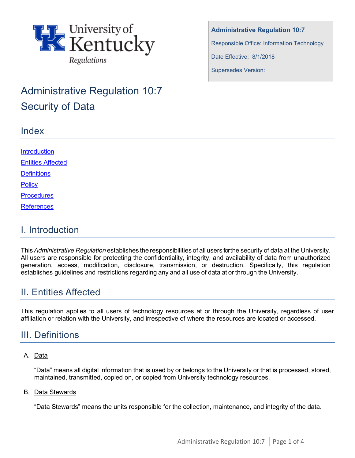

# Administrative Regulation 10:7 Security of Data

### Index

**Administrative Regulation 10:7** Responsible Office: Information Technology Date Effective: 8/1/2018 Supersedes Version:

| <b>Introduction</b>      |  |  |
|--------------------------|--|--|
| <b>Entities Affected</b> |  |  |
| <b>Definitions</b>       |  |  |
| <b>Policy</b>            |  |  |
| <b>Procedures</b>        |  |  |
| <b>References</b>        |  |  |
|                          |  |  |

### <span id="page-0-0"></span>I. Introduction

This*Administrative Regulation* establishes the responsibilities of all users for the security of data at the University. All users are responsible for protecting the confidentiality, integrity, and availability of data from unauthorized generation, access, modification, disclosure, transmission, or destruction. Specifically, this regulation establishes guidelines and restrictions regarding any and all use of data at or through the University.

# <span id="page-0-1"></span>II. Entities Affected

This regulation applies to all users of technology resources at or through the University, regardless of user affiliation or relation with the University, and irrespective of where the resources are located or accessed.

# <span id="page-0-2"></span>III. Definitions

### A. Data

"Data" means all digital information that is used by or belongs to the University or that is processed, stored, maintained, transmitted, copied on, or copied from University technology resources.

#### B. Data Stewards

"Data Stewards" means the units responsible for the collection, maintenance, and integrity of the data.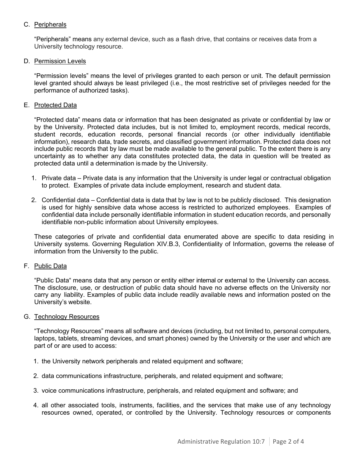#### C. Peripherals

"Peripherals" means any external device, such as a flash drive, that contains or receives data from a University technology resource.

#### D. Permission Levels

"Permission levels" means the level of privileges granted to each person or unit. The default permission level granted should always be least privileged (i.e., the most restrictive set of privileges needed for the performance of authorized tasks).

#### E. Protected Data

"Protected data" means data or information that has been designated as private or confidential by law or by the University. Protected data includes, but is not limited to, employment records, medical records, student records, education records, personal financial records (or other individually identifiable information), research data, trade secrets, and classified government information. Protected data does not include public records that by law must be made available to the general public. To the extent there is any uncertainty as to whether any data constitutes protected data, the data in question will be treated as protected data until a determination is made by the University.

- 1. Private data Private data is any information that the University is under legal or contractual obligation to protect. Examples of private data include employment, research and student data.
- 2. Confidential data Confidential data is data that by law is not to be publicly disclosed. This designation is used for highly sensibive data whose access is restricted to authorized employees. Examples of confidential data include personally identifiable information in student education records, and personally identifiable non-public information about University employees.

These categories of private and confidential data enumerated above are specific to data residing in University systems. Governing Regulation XIV.B.3, Confidentiality of Information, governs the release of information from the University to the public.

#### F. Public Data

"Public Data" means data that any person or entity either internal or external to the University can access. The disclosure, use, or destruction of public data should have no adverse effects on the University nor carry any liability. Examples of public data include readily available news and information posted on the University's website.

#### G. Technology Resources

"Technology Resources" means all software and devices (including, but not limited to, personal computers, laptops, tablets, streaming devices, and smart phones) owned by the University or the user and which are part of or are used to access:

- 1. the University network peripherals and related equipment and software;
- 2. data communications infrastructure, peripherals, and related equipment and software;
- 3. voice communications infrastructure, peripherals, and related equipment and software; and
- 4. all other associated tools, instruments, facilities, and the services that make use of any technology resources owned, operated, or controlled by the University. Technology resources or components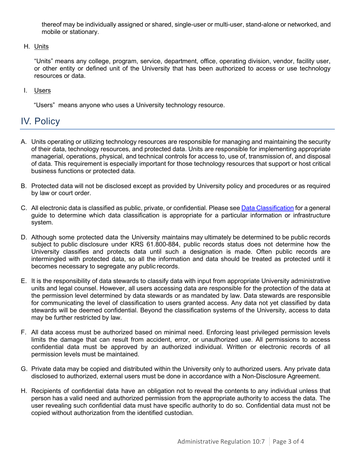thereof may be individually assigned or shared, single-user or multi-user, stand-alone or networked, and mobile or stationary.

H. Units

"Units" means any college, program, service, department, office, operating division, vendor, facility user, or other entity or defined unit of the University that has been authorized to access or use technology resources or data.

I. Users

"Users" means anyone who uses a University technology resource.

### <span id="page-2-0"></span>IV. Policy

- A. Units operating or utilizing technology resources are responsible for managing and maintaining the security of their data, technology resources, and protected data. Units are responsible for implementing appropriate managerial, operations, physical, and technical controls for access to, use of, transmission of, and disposal of data. This requirement is especially important for those technology resources that support or host critical business functions or protected data.
- B. Protected data will not be disclosed except as provided by University policy and procedures or as required by law or court order.
- C. All electronic data is classified as public, private, or confidential. Please se[e Data Classification](https://uky.service-now.com/techhelp?id=kb_article&sysparm_article=KB0013455) for a general guide to determine which data classification is appropriate for a particular information or infrastructure system.
- D. Although some protected data the University maintains may ultimately be determined to be public records subject to public disclosure under KRS 61.800-884, public records status does not determine how the University classifies and protects data until such a designation is made. Often public records are intermingled with protected data, so all the information and data should be treated as protected until it becomes necessary to segregate any public records.
- E. It is the responsibility of data stewards to classify data with input from appropriate University administrative units and legal counsel. However, all users accessing data are responsible for the protection of the data at the permission level determined by data stewards or as mandated by law. Data stewards are responsible for communicating the level of classification to users granted access. Any data not yet classified by data stewards will be deemed confidential. Beyond the classification systems of the University, access to data may be further restricted by law.
- F. All data access must be authorized based on minimal need. Enforcing least privileged permission levels limits the damage that can result from accident, error, or unauthorized use. All permissions to access confidential data must be approved by an authorized individual. Written or electronic records of all permission levels must be maintained.
- G. Private data may be copied and distributed within the University only to authorized users. Any private data disclosed to authorized, external users must be done in accordance with a Non-Disclosure Agreement.
- H. Recipients of confidential data have an obligation not to reveal the contents to any individual unless that person has a valid need and authorized permission from the appropriate authority to access the data. The user revealing such confidential data must have specific authority to do so. Confidential data must not be copied without authorization from the identified custodian.